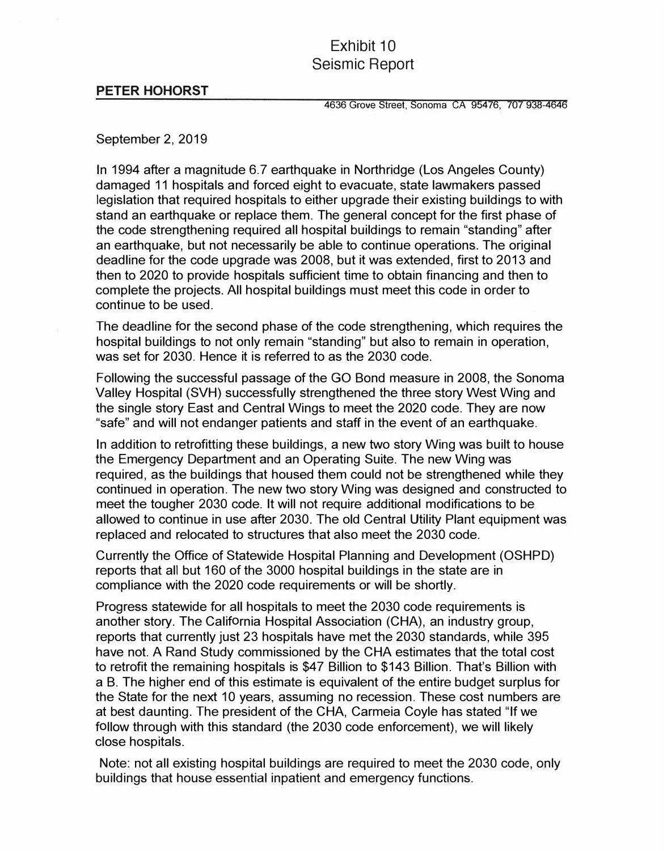## Exhibit 10 Seismic Report

## **PETER HOHORST**

4636 Grove Street, Sonoma CA 95476, 707 938-4646

## September 2, 2019

In 1994 after a magnitude 6.7 earthquake in Northridge (Los Angeles County) damaged 11 hospitals and forced eight to evacuate, state lawmakers passed legislation that required hospitals to either upgrade their existing buildings to with stand an earthquake or replace them. The general concept for the first phase of the code strengthening required all hospital buildings to remain "standing" after an earthquake, but not necessarily be able to continue operations. The original deadline for the code upgrade was 2008, but it was extended, first to 2013 and then to 2020 to provide hospitals sufficient time to obtain financing and then to complete the projects. All hospital buildings must meet this code in order to continue to be used.

The deadline for the second phase of the code strengthening, which requires the hospital buildings to not only remain "standing" but also to remain in operation, was set for 2030. Hence it is referred to as the 2030 code.

Following the successful passage of the GO Bond measure in 2008, the Sonoma Valley Hospital (SVH) successfully strengthened the three story West Wing and the single story East and Central Wings to meet the 2020 code. They are now "safe" and will not endanger patients and staff in the event of an earthquake.

In addition to retrofitting these buildings, a new two story Wing was built to house the Emergency Department and an Operating Suite. The new Wing was required, as the buildings that housed them could not be strengthened while they continued in operation. The new two story Wing was designed and constructed to meet the tougher 2030 code. It will not require additional modifications to be allowed to continue in use after 2030. The old Central Utility Plant equipment was replaced and relocated to structures that also meet the 2030 code.

Currently the Office of Statewide Hospital Planning and Development (OSHPD) reports that all but 160 of the 3000 hospital buildings in the state are in compliance with the 2020 code requirements or will be shortly.

Progress statewide for all hospitals to meet the 2030 code requirements is another story. The California Hospital Association (CHA), an industry group, reports that currently just 23 hospitals have met the 2030 standards, while 395 have not. A Rand Study commissioned by the CHA estimates that the total cost to retrofit the remaining hospitals is \$47 Billion to \$143 Billion. That's Billion with a B. The higher end of this estimate is equivalent of the entire budget surplus for the State for the next 10 years, assuming no recession. These cost numbers are at best daunting. The president of the CHA, Carmeia Coyle has stated "If we follow through with this standard (the 2030 code enforcement), we will likely close hospitals.

Note: not all existing hospital buildings are required to meet the 2030 code, only buildings that house essential inpatient and emergency functions.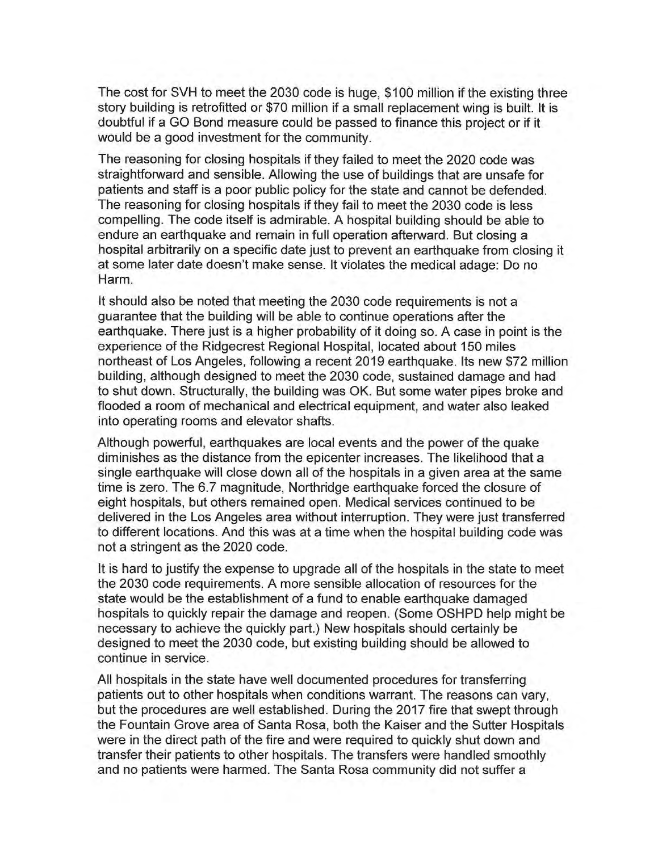The cost for SVH to meet the 2030 code is huge, \$100 million if the existing three story building is retrofitted or \$70 million if a small replacement wing is built. It is doubtful if a GO Bond measure could be passed to finance this project or if it would be a good investment for the community.

The reasoning for closing hospitals if they failed to meet the 2020 code was straightforward and sensible. Allowing the use of buildings that are unsafe for patients and staff is a poor public policy for the state and cannot be defended. The reasoning for closing hospitals if they fail to meet the 2030 code is less compelling. The code itself is admirable. A hospital building should be able to endure an earthquake and remain in full operation afterward. But closing a hospital arbitrarily on a specific date just to prevent an earthquake from closing it at some later date doesn't make sense. It violates the medical adage: Do no Harm.

It should also be noted that meeting the 2030 code requirements is not a guarantee that the building will be able to continue operations after the earthquake. There just is a higher probability of it doing so. A case in point is the experience of the Ridgecrest Regional Hospital, located about 150 miles northeast of Los Angeles, following a recent 2019 earthquake. Its new \$72 million building, although designed to meet the 2030 code, sustained damage and had to shut down. Structurally, the building was OK. But some water pipes broke and flooded a room of mechanical and electrical equipment, and water also leaked into operating rooms and elevator shafts.

Although powerful, earthquakes are local events and the power of the quake diminishes as the distance from the epicenter increases. The likelihood that a single earthquake will close down all of the hospitals in a given area at the same time is zero. The 6.7 magnitude, Northridge earthquake forced the closure of eight hospitals, but others remained open. Medical services continued to be delivered in the Los Angeles area without interruption. They were just transferred to different locations. And this was at a time when the hospital building code was not a stringent as the 2020 code.

It is hard to justify the expense to upgrade all of the hospitals in the state to meet the 2030 code requirements. A more sensible allocation of resources for the state would be the establishment of a fund to enable earthquake damaged hospitals to quickly repair the damage and reopen. (Some OSHPD help might be necessary to achieve the quickly part.) New hospitals should certainly be designed to meet the 2030 code, but existing building should be allowed to continue in service.

All hospitals in the state have well documented procedures for transferring patients out to other hospitals when conditions warrant. The reasons can vary, but the procedures are well established. During the 2017 fire that swept through the Fountain Grove area of Santa Rosa, both the Kaiser and the Sutter Hospitals were in the direct path of the fire and were required to quickly shut down and transfer their patients to other hospitals. The transfers were handled smoothly and no patients were harmed. The Santa Rosa community did not suffer a